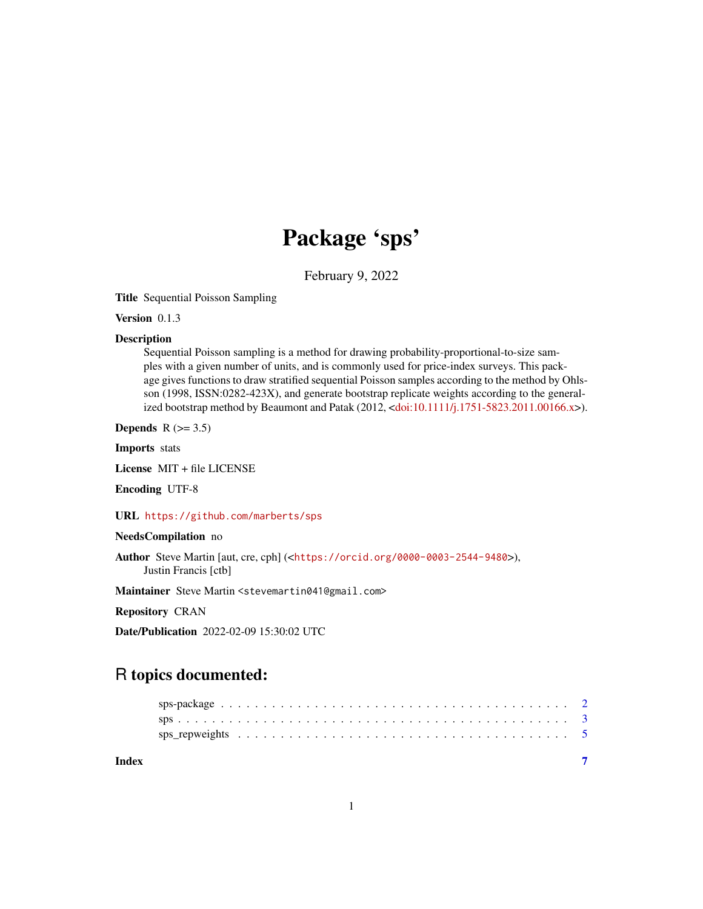## Package 'sps'

February 9, 2022

<span id="page-0-0"></span>Title Sequential Poisson Sampling

Version 0.1.3

#### **Description**

Sequential Poisson sampling is a method for drawing probability-proportional-to-size samples with a given number of units, and is commonly used for price-index surveys. This package gives functions to draw stratified sequential Poisson samples according to the method by Ohlsson (1998, ISSN:0282-423X), and generate bootstrap replicate weights according to the generalized bootstrap method by Beaumont and Patak (2012, [<doi:10.1111/j.1751-5823.2011.00166.x>](https://doi.org/10.1111/j.1751-5823.2011.00166.x)).

Depends  $R$  ( $>= 3.5$ )

Imports stats

License MIT + file LICENSE

Encoding UTF-8

URL <https://github.com/marberts/sps>

#### NeedsCompilation no

Author Steve Martin [aut, cre, cph] (<<https://orcid.org/0000-0003-2544-9480>>), Justin Francis [ctb]

Maintainer Steve Martin <stevemartin041@gmail.com>

Repository CRAN

Date/Publication 2022-02-09 15:30:02 UTC

### R topics documented:

**Index** [7](#page-6-0) **7**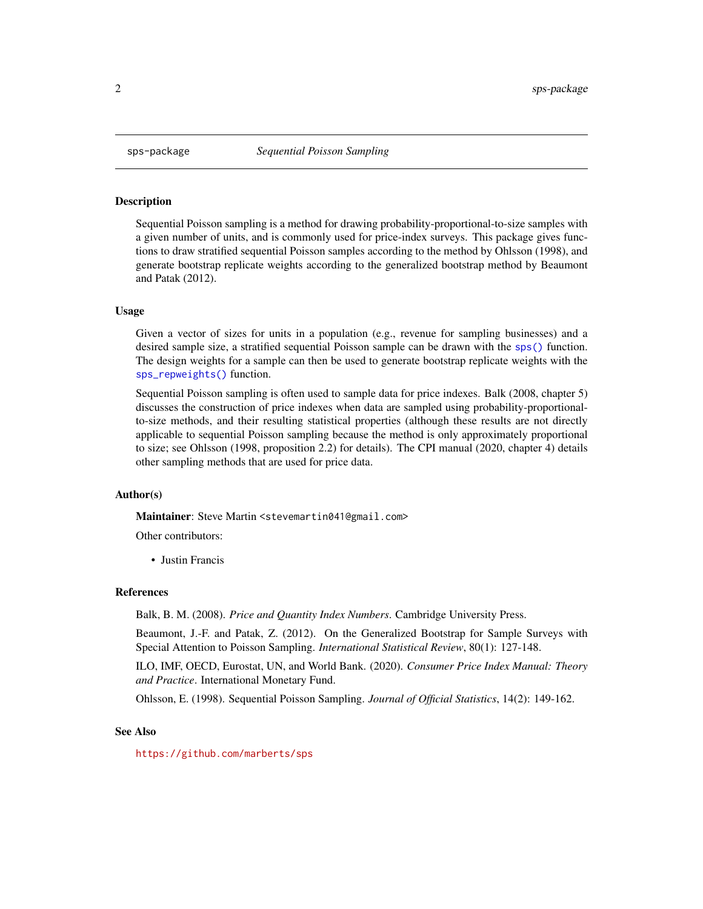<span id="page-1-0"></span>

#### Description

Sequential Poisson sampling is a method for drawing probability-proportional-to-size samples with a given number of units, and is commonly used for price-index surveys. This package gives functions to draw stratified sequential Poisson samples according to the method by Ohlsson (1998), and generate bootstrap replicate weights according to the generalized bootstrap method by Beaumont and Patak (2012).

#### Usage

Given a vector of sizes for units in a population (e.g., revenue for sampling businesses) and a desired sample size, a stratified sequential Poisson sample can be drawn with the [sps\(\)](#page-2-1) function. The design weights for a sample can then be used to generate bootstrap replicate weights with the [sps\\_repweights\(\)](#page-4-1) function.

Sequential Poisson sampling is often used to sample data for price indexes. Balk (2008, chapter 5) discusses the construction of price indexes when data are sampled using probability-proportionalto-size methods, and their resulting statistical properties (although these results are not directly applicable to sequential Poisson sampling because the method is only approximately proportional to size; see Ohlsson (1998, proposition 2.2) for details). The CPI manual (2020, chapter 4) details other sampling methods that are used for price data.

#### Author(s)

Maintainer: Steve Martin <stevemartin041@gmail.com>

Other contributors:

• Justin Francis

#### References

Balk, B. M. (2008). *Price and Quantity Index Numbers*. Cambridge University Press.

Beaumont, J.-F. and Patak, Z. (2012). On the Generalized Bootstrap for Sample Surveys with Special Attention to Poisson Sampling. *International Statistical Review*, 80(1): 127-148.

ILO, IMF, OECD, Eurostat, UN, and World Bank. (2020). *Consumer Price Index Manual: Theory and Practice*. International Monetary Fund.

Ohlsson, E. (1998). Sequential Poisson Sampling. *Journal of Official Statistics*, 14(2): 149-162.

#### See Also

<https://github.com/marberts/sps>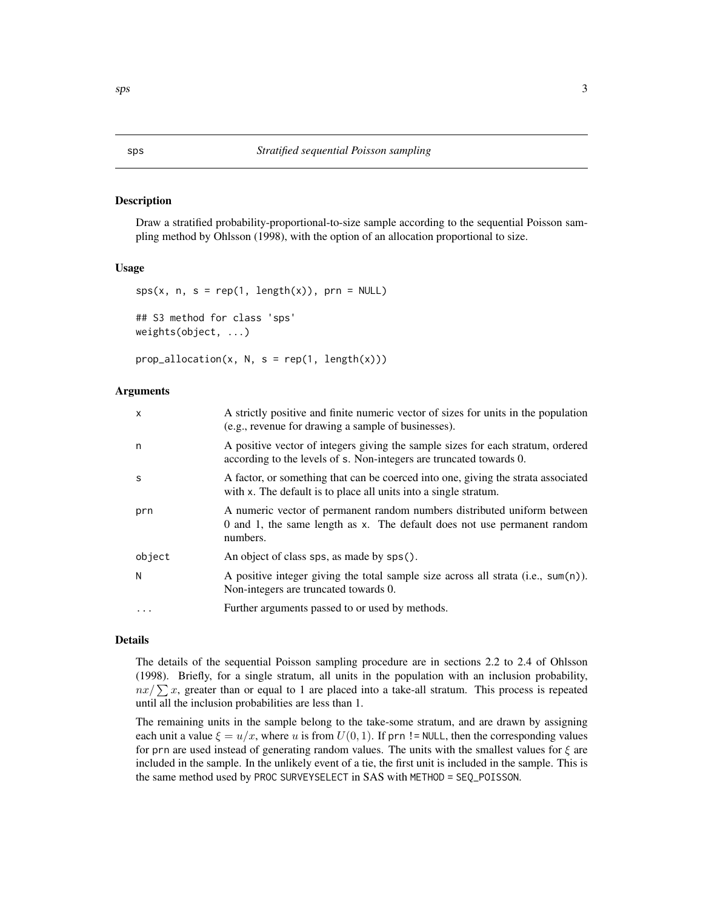#### <span id="page-2-1"></span><span id="page-2-0"></span>Description

Draw a stratified probability-proportional-to-size sample according to the sequential Poisson sampling method by Ohlsson (1998), with the option of an allocation proportional to size.

#### Usage

```
sys(x, n, s = rep(1, length(x)), prn = NULL)## S3 method for class 'sps'
weights(object, ...)
```
 $prop\_allocation(x, N, s = rep(1, length(x)))$ 

#### Arguments

| $\mathsf{x}$ | A strictly positive and finite numeric vector of sizes for units in the population<br>(e.g., revenue for drawing a sample of businesses).                        |
|--------------|------------------------------------------------------------------------------------------------------------------------------------------------------------------|
| n            | A positive vector of integers giving the sample sizes for each stratum, ordered<br>according to the levels of s. Non-integers are truncated towards 0.           |
| S            | A factor, or something that can be coerced into one, giving the strata associated<br>with x. The default is to place all units into a single stratum.            |
| prn          | A numeric vector of permanent random numbers distributed uniform between<br>0 and 1, the same length as x. The default does not use permanent random<br>numbers. |
| object       | An object of class sps, as made by sps().                                                                                                                        |
| N            | A positive integer giving the total sample size across all strata $(i.e., sum(n))$ .<br>Non-integers are truncated towards 0.                                    |
| $\cdots$     | Further arguments passed to or used by methods.                                                                                                                  |

#### Details

The details of the sequential Poisson sampling procedure are in sections 2.2 to 2.4 of Ohlsson (1998). Briefly, for a single stratum, all units in the population with an inclusion probability,  $nx/\sum x$ , greater than or equal to 1 are placed into a take-all stratum. This process is repeated until all the inclusion probabilities are less than 1.

The remaining units in the sample belong to the take-some stratum, and are drawn by assigning each unit a value  $\xi = u/x$ , where u is from  $U(0, 1)$ . If prn != NULL, then the corresponding values for prn are used instead of generating random values. The units with the smallest values for  $\xi$  are included in the sample. In the unlikely event of a tie, the first unit is included in the sample. This is the same method used by PROC SURVEYSELECT in SAS with METHOD = SEQ\_POISSON.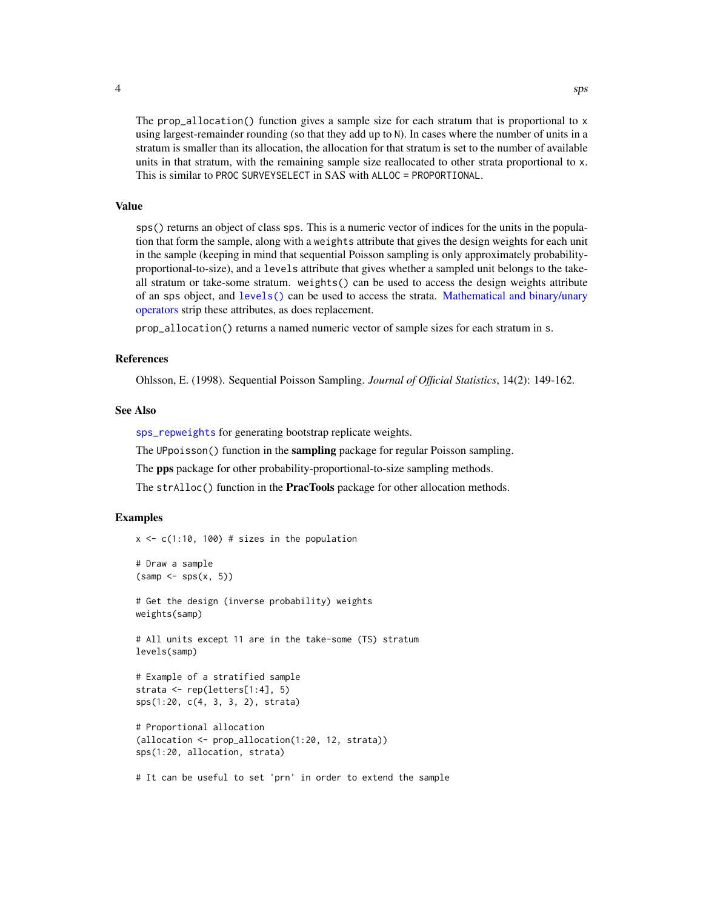<span id="page-3-0"></span>

The prop\_allocation() function gives a sample size for each stratum that is proportional to x using largest-remainder rounding (so that they add up to N). In cases where the number of units in a stratum is smaller than its allocation, the allocation for that stratum is set to the number of available units in that stratum, with the remaining sample size reallocated to other strata proportional to x. This is similar to PROC SURVEYSELECT in SAS with ALLOC = PROPORTIONAL.

#### Value

sps() returns an object of class sps. This is a numeric vector of indices for the units in the population that form the sample, along with a weights attribute that gives the design weights for each unit in the sample (keeping in mind that sequential Poisson sampling is only approximately probabilityproportional-to-size), and a levels attribute that gives whether a sampled unit belongs to the takeall stratum or take-some stratum. weights() can be used to access the design weights attribute of an sps object, and [levels\(\)](#page-0-0) can be used to access the strata. [Mathematical and binary/unary](#page-0-0) [operators](#page-0-0) strip these attributes, as does replacement.

prop\_allocation() returns a named numeric vector of sample sizes for each stratum in s.

#### References

Ohlsson, E. (1998). Sequential Poisson Sampling. *Journal of Official Statistics*, 14(2): 149-162.

#### See Also

[sps\\_repweights](#page-4-1) for generating bootstrap replicate weights.

The UPpoisson() function in the **sampling** package for regular Poisson sampling.

The pps package for other probability-proportional-to-size sampling methods.

The strAlloc() function in the **PracTools** package for other allocation methods.

#### Examples

 $x \leq -c(1:10, 100)$  # sizes in the population

```
# Draw a sample
(samp < - sps(x, 5))# Get the design (inverse probability) weights
weights(samp)
# All units except 11 are in the take-some (TS) stratum
levels(samp)
# Example of a stratified sample
strata <- rep(letters[1:4], 5)
sps(1:20, c(4, 3, 3, 2), strata)
# Proportional allocation
(allocation <- prop_allocation(1:20, 12, strata))
sps(1:20, allocation, strata)
```
# It can be useful to set 'prn' in order to extend the sample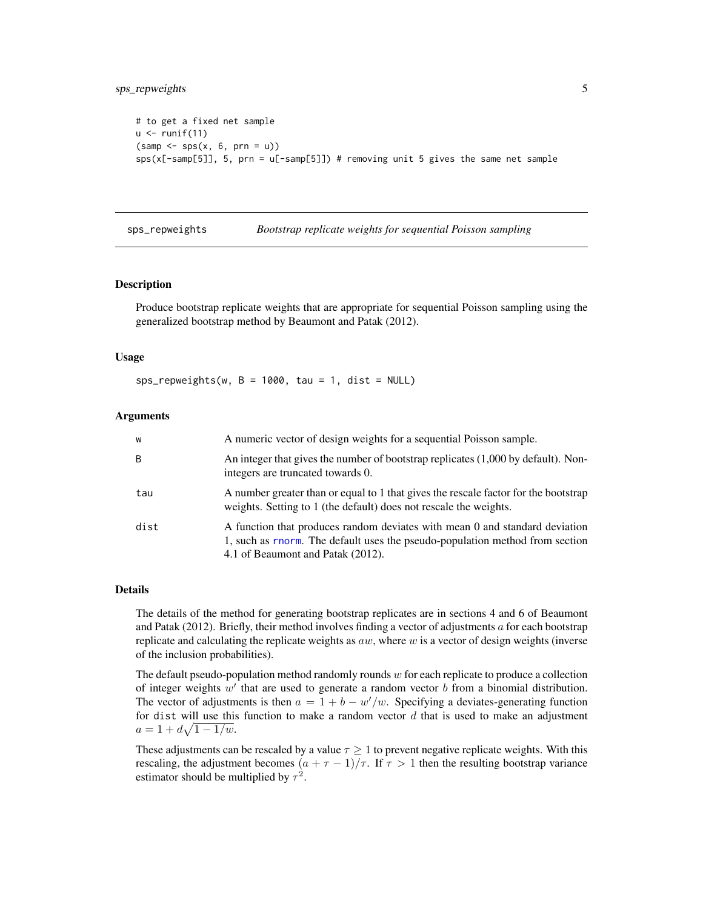```
# to get a fixed net sample
u < - runif(11)
(samp < - sps(x, 6, prn = u))sys(x[-samp[5]], 5, prn = u[-samp[5]]) # removing unit 5 gives the same net sample
```
<span id="page-4-1"></span>sps\_repweights *Bootstrap replicate weights for sequential Poisson sampling*

#### Description

Produce bootstrap replicate weights that are appropriate for sequential Poisson sampling using the generalized bootstrap method by Beaumont and Patak (2012).

#### Usage

 $sps_repweights(w, B = 1000, tau = 1, dist = NULL)$ 

#### Arguments

| W    | A numeric vector of design weights for a sequential Poisson sample.                                                                                                                              |
|------|--------------------------------------------------------------------------------------------------------------------------------------------------------------------------------------------------|
| B    | An integer that gives the number of bootstrap replicates (1,000 by default). Non-<br>integers are truncated towards 0.                                                                           |
| tau  | A number greater than or equal to 1 that gives the rescale factor for the bootstrap<br>weights. Setting to 1 (the default) does not rescale the weights.                                         |
| dist | A function that produces random deviates with mean 0 and standard deviation<br>1, such as rnorm. The default uses the pseudo-population method from section<br>4.1 of Beaumont and Patak (2012). |

#### Details

The details of the method for generating bootstrap replicates are in sections 4 and 6 of Beaumont and Patak (2012). Briefly, their method involves finding a vector of adjustments  $a$  for each bootstrap replicate and calculating the replicate weights as  $aw$ , where w is a vector of design weights (inverse of the inclusion probabilities).

The default pseudo-population method randomly rounds  $w$  for each replicate to produce a collection of integer weights  $w'$  that are used to generate a random vector  $b$  from a binomial distribution. The vector of adjustments is then  $a = 1 + b - w'/w$ . Specifying a deviates-generating function for dist will use this function to make a random vector  $d$  that is used to make an adjustment  $a = 1 + d\sqrt{1 - 1/w}.$ 

These adjustments can be rescaled by a value  $\tau \geq 1$  to prevent negative replicate weights. With this rescaling, the adjustment becomes  $(a + \tau - 1)/\tau$ . If  $\tau > 1$  then the resulting bootstrap variance estimator should be multiplied by  $\tau^2$ .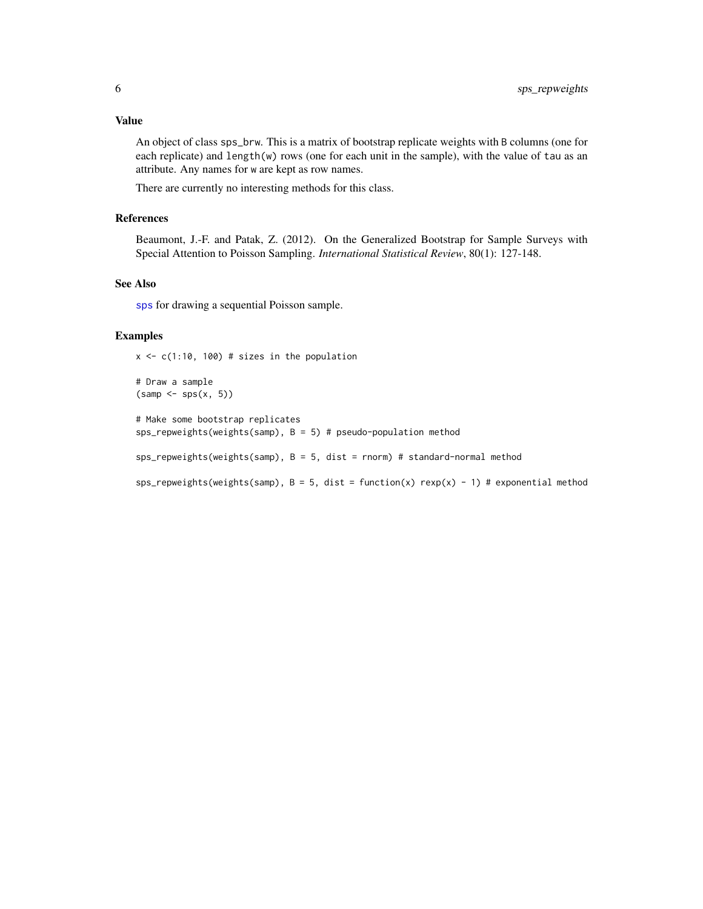#### <span id="page-5-0"></span>Value

An object of class sps\_brw. This is a matrix of bootstrap replicate weights with B columns (one for each replicate) and length(w) rows (one for each unit in the sample), with the value of tau as an attribute. Any names for w are kept as row names.

There are currently no interesting methods for this class.

#### References

Beaumont, J.-F. and Patak, Z. (2012). On the Generalized Bootstrap for Sample Surveys with Special Attention to Poisson Sampling. *International Statistical Review*, 80(1): 127-148.

#### See Also

[sps](#page-2-1) for drawing a sequential Poisson sample.

#### Examples

 $x \leq -c(1:10, 100)$  # sizes in the population

```
# Draw a sample
(samp < - sps(x, 5))
```
# Make some bootstrap replicates sps\_repweights(weights(samp),  $B = 5$ ) # pseudo-population method

sps\_repweights(weights(samp),  $B = 5$ , dist = rnorm) # standard-normal method

 $sps_repweights(weights(samp), B = 5, dist = function(x) resp(x) - 1) # exponential method$